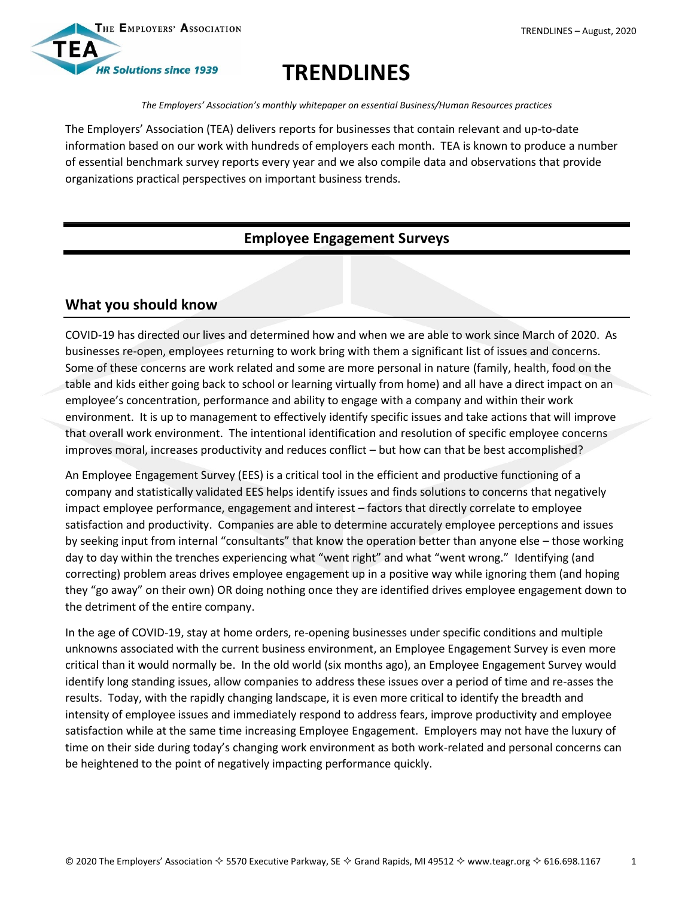

# **TRENDLINES**

*The Employers' Association's monthly whitepaper on essential Business/Human Resources practices*

The Employers' Association (TEA) delivers reports for businesses that contain relevant and up-to-date information based on our work with hundreds of employers each month. TEA is known to produce a number of essential benchmark survey reports every year and we also compile data and observations that provide organizations practical perspectives on important business trends.

# **Employee Engagement Surveys**

## **What you should know**

COVID-19 has directed our lives and determined how and when we are able to work since March of 2020. As businesses re-open, employees returning to work bring with them a significant list of issues and concerns. Some of these concerns are work related and some are more personal in nature (family, health, food on the table and kids either going back to school or learning virtually from home) and all have a direct impact on an employee's concentration, performance and ability to engage with a company and within their work environment. It is up to management to effectively identify specific issues and take actions that will improve that overall work environment. The intentional identification and resolution of specific employee concerns improves moral, increases productivity and reduces conflict – but how can that be best accomplished?

An Employee Engagement Survey (EES) is a critical tool in the efficient and productive functioning of a company and statistically validated EES helps identify issues and finds solutions to concerns that negatively impact employee performance, engagement and interest – factors that directly correlate to employee satisfaction and productivity. Companies are able to determine accurately employee perceptions and issues by seeking input from internal "consultants" that know the operation better than anyone else – those working day to day within the trenches experiencing what "went right" and what "went wrong." Identifying (and correcting) problem areas drives employee engagement up in a positive way while ignoring them (and hoping they "go away" on their own) OR doing nothing once they are identified drives employee engagement down to the detriment of the entire company.

In the age of COVID-19, stay at home orders, re-opening businesses under specific conditions and multiple unknowns associated with the current business environment, an Employee Engagement Survey is even more critical than it would normally be. In the old world (six months ago), an Employee Engagement Survey would identify long standing issues, allow companies to address these issues over a period of time and re-asses the results. Today, with the rapidly changing landscape, it is even more critical to identify the breadth and intensity of employee issues and immediately respond to address fears, improve productivity and employee satisfaction while at the same time increasing Employee Engagement. Employers may not have the luxury of time on their side during today's changing work environment as both work-related and personal concerns can be heightened to the point of negatively impacting performance quickly.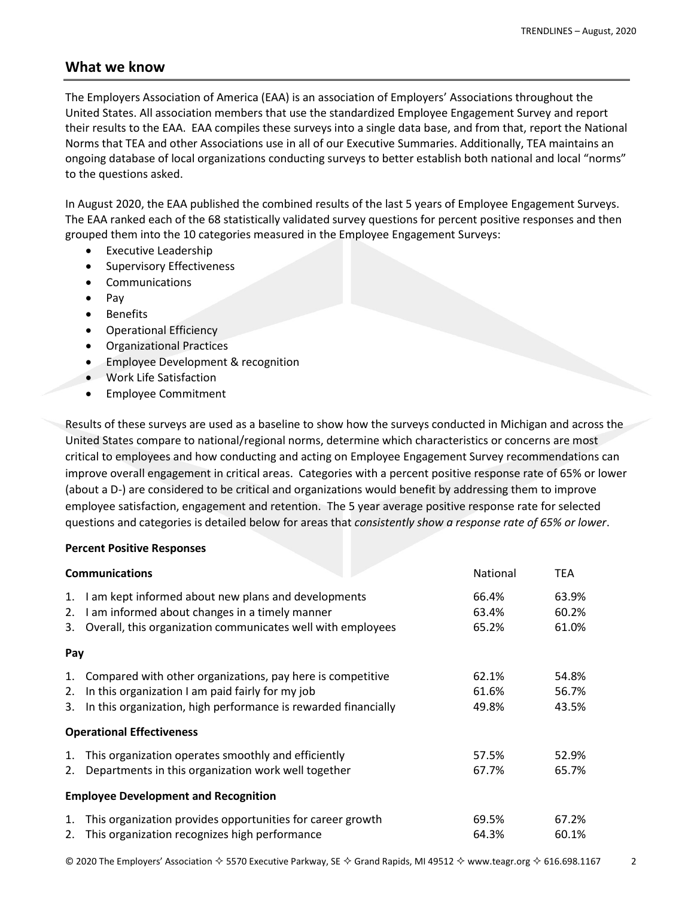### **What we know**

The Employers Association of America (EAA) is an association of Employers' Associations throughout the United States. All association members that use the standardized Employee Engagement Survey and report their results to the EAA. EAA compiles these surveys into a single data base, and from that, report the National Norms that TEA and other Associations use in all of our Executive Summaries. Additionally, TEA maintains an ongoing database of local organizations conducting surveys to better establish both national and local "norms" to the questions asked.

In August 2020, the EAA published the combined results of the last 5 years of Employee Engagement Surveys. The EAA ranked each of the 68 statistically validated survey questions for percent positive responses and then grouped them into the 10 categories measured in the Employee Engagement Surveys:

- Executive Leadership
- Supervisory Effectiveness
- Communications
- $\bullet$  Pay
- Benefits
- Operational Efficiency
- Organizational Practices
- Employee Development & recognition
- Work Life Satisfaction
- Employee Commitment

Results of these surveys are used as a baseline to show how the surveys conducted in Michigan and across the United States compare to national/regional norms, determine which characteristics or concerns are most critical to employees and how conducting and acting on Employee Engagement Survey recommendations can improve overall engagement in critical areas. Categories with a percent positive response rate of 65% or lower (about a D-) are considered to be critical and organizations would benefit by addressing them to improve employee satisfaction, engagement and retention. The 5 year average positive response rate for selected questions and categories is detailed below for areas that *consistently show a response rate of 65% or lower*.

#### **Percent Positive Responses**

| <b>Communications</b> |                                                                | <b>National</b> | <b>TEA</b> |
|-----------------------|----------------------------------------------------------------|-----------------|------------|
| 1.                    | I am kept informed about new plans and developments            | 66.4%           | 63.9%      |
| 2.                    | I am informed about changes in a timely manner                 | 63.4%           | 60.2%      |
| 3.                    | Overall, this organization communicates well with employees    | 65.2%           | 61.0%      |
| Pay                   |                                                                |                 |            |
| 1.                    | Compared with other organizations, pay here is competitive     | 62.1%           | 54.8%      |
| 2.                    | In this organization I am paid fairly for my job               | 61.6%           | 56.7%      |
| 3.                    | In this organization, high performance is rewarded financially | 49.8%           | 43.5%      |
|                       | <b>Operational Effectiveness</b>                               |                 |            |
| 1.                    | This organization operates smoothly and efficiently            | 57.5%           | 52.9%      |
| 2.                    | Departments in this organization work well together            | 67.7%           | 65.7%      |
|                       | <b>Employee Development and Recognition</b>                    |                 |            |
| 1.                    | This organization provides opportunities for career growth     | 69.5%           | 67.2%      |
|                       | 2. This organization recognizes high performance               | 64.3%           | 60.1%      |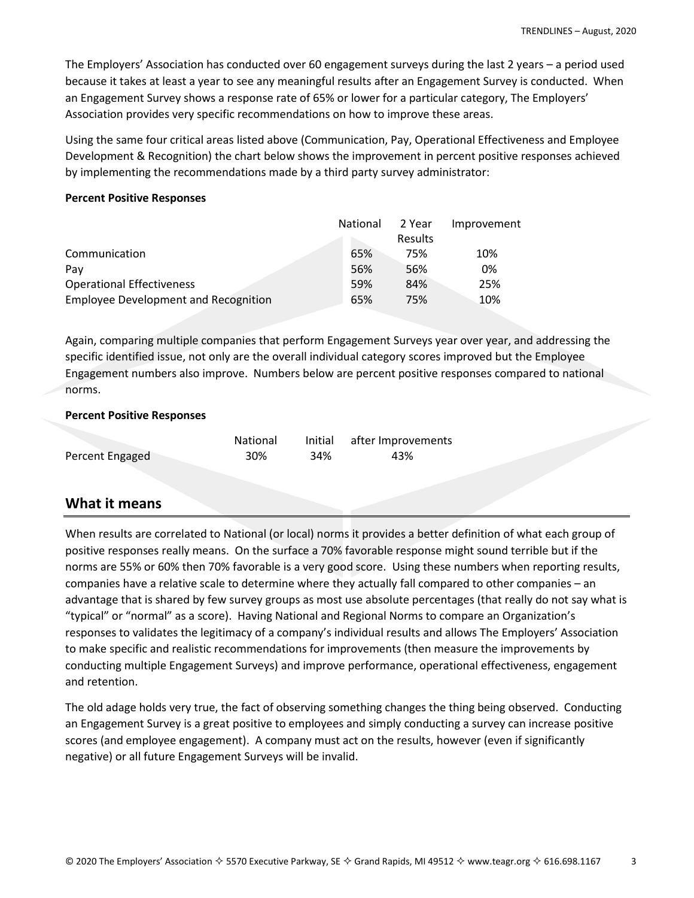The Employers' Association has conducted over 60 engagement surveys during the last 2 years – a period used because it takes at least a year to see any meaningful results after an Engagement Survey is conducted. When an Engagement Survey shows a response rate of 65% or lower for a particular category, The Employers' Association provides very specific recommendations on how to improve these areas.

Using the same four critical areas listed above (Communication, Pay, Operational Effectiveness and Employee Development & Recognition) the chart below shows the improvement in percent positive responses achieved by implementing the recommendations made by a third party survey administrator:

#### **Percent Positive Responses**

| <b>National</b> | 2 Year         | Improvement |
|-----------------|----------------|-------------|
|                 | <b>Results</b> |             |
| 65%             | 75%            | 10%         |
| 56%             | 56%            | 0%          |
| 59%             | 84%            | 25%         |
| 65%             | 75%            | 10%         |
|                 |                |             |

Again, comparing multiple companies that perform Engagement Surveys year over year, and addressing the specific identified issue, not only are the overall individual category scores improved but the Employee Engagement numbers also improve. Numbers below are percent positive responses compared to national norms.

#### **Percent Positive Responses**

|                 | <b>National</b> |     | Initial after Improvements |
|-----------------|-----------------|-----|----------------------------|
| Percent Engaged | 30%             | 34% | 43%                        |

### **What it means**

When results are correlated to National (or local) norms it provides a better definition of what each group of positive responses really means. On the surface a 70% favorable response might sound terrible but if the norms are 55% or 60% then 70% favorable is a very good score. Using these numbers when reporting results, companies have a relative scale to determine where they actually fall compared to other companies – an advantage that is shared by few survey groups as most use absolute percentages (that really do not say what is "typical" or "normal" as a score). Having National and Regional Norms to compare an Organization's responses to validates the legitimacy of a company's individual results and allows The Employers' Association to make specific and realistic recommendations for improvements (then measure the improvements by conducting multiple Engagement Surveys) and improve performance, operational effectiveness, engagement and retention.

The old adage holds very true, the fact of observing something changes the thing being observed. Conducting an Engagement Survey is a great positive to employees and simply conducting a survey can increase positive scores (and employee engagement). A company must act on the results, however (even if significantly negative) or all future Engagement Surveys will be invalid.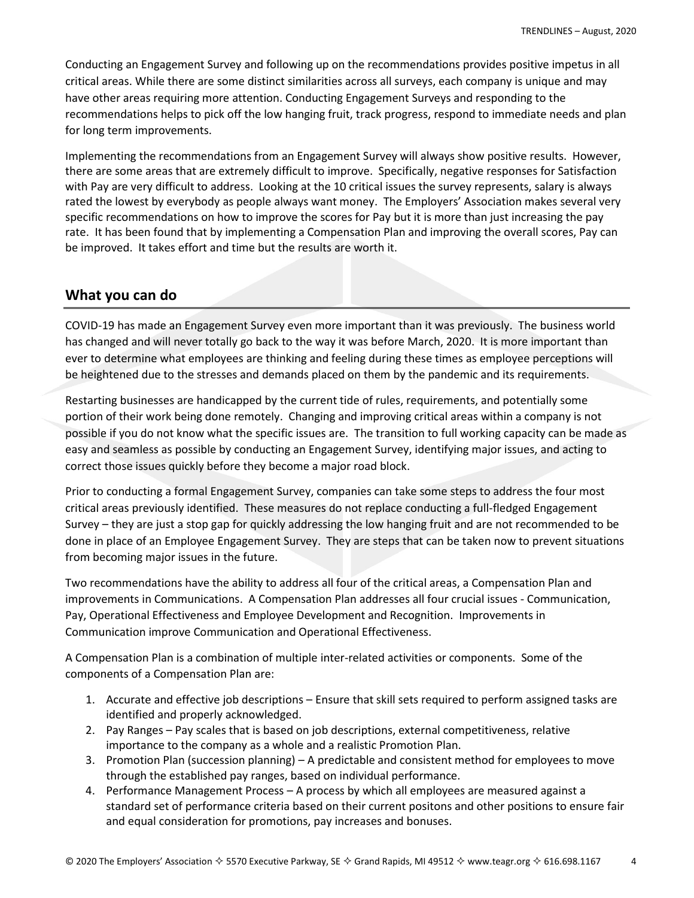Conducting an Engagement Survey and following up on the recommendations provides positive impetus in all critical areas. While there are some distinct similarities across all surveys, each company is unique and may have other areas requiring more attention. Conducting Engagement Surveys and responding to the recommendations helps to pick off the low hanging fruit, track progress, respond to immediate needs and plan for long term improvements.

Implementing the recommendations from an Engagement Survey will always show positive results. However, there are some areas that are extremely difficult to improve. Specifically, negative responses for Satisfaction with Pay are very difficult to address. Looking at the 10 critical issues the survey represents, salary is always rated the lowest by everybody as people always want money. The Employers' Association makes several very specific recommendations on how to improve the scores for Pay but it is more than just increasing the pay rate. It has been found that by implementing a Compensation Plan and improving the overall scores, Pay can be improved. It takes effort and time but the results are worth it.

### **What you can do**

COVID-19 has made an Engagement Survey even more important than it was previously. The business world has changed and will never totally go back to the way it was before March, 2020. It is more important than ever to determine what employees are thinking and feeling during these times as employee perceptions will be heightened due to the stresses and demands placed on them by the pandemic and its requirements.

Restarting businesses are handicapped by the current tide of rules, requirements, and potentially some portion of their work being done remotely. Changing and improving critical areas within a company is not possible if you do not know what the specific issues are. The transition to full working capacity can be made as easy and seamless as possible by conducting an Engagement Survey, identifying major issues, and acting to correct those issues quickly before they become a major road block.

Prior to conducting a formal Engagement Survey, companies can take some steps to address the four most critical areas previously identified. These measures do not replace conducting a full-fledged Engagement Survey – they are just a stop gap for quickly addressing the low hanging fruit and are not recommended to be done in place of an Employee Engagement Survey. They are steps that can be taken now to prevent situations from becoming major issues in the future.

Two recommendations have the ability to address all four of the critical areas, a Compensation Plan and improvements in Communications. A Compensation Plan addresses all four crucial issues - Communication, Pay, Operational Effectiveness and Employee Development and Recognition. Improvements in Communication improve Communication and Operational Effectiveness.

A Compensation Plan is a combination of multiple inter-related activities or components. Some of the components of a Compensation Plan are:

- 1. Accurate and effective job descriptions Ensure that skill sets required to perform assigned tasks are identified and properly acknowledged.
- 2. Pay Ranges Pay scales that is based on job descriptions, external competitiveness, relative importance to the company as a whole and a realistic Promotion Plan.
- 3. Promotion Plan (succession planning) A predictable and consistent method for employees to move through the established pay ranges, based on individual performance.
- 4. Performance Management Process A process by which all employees are measured against a standard set of performance criteria based on their current positons and other positions to ensure fair and equal consideration for promotions, pay increases and bonuses.